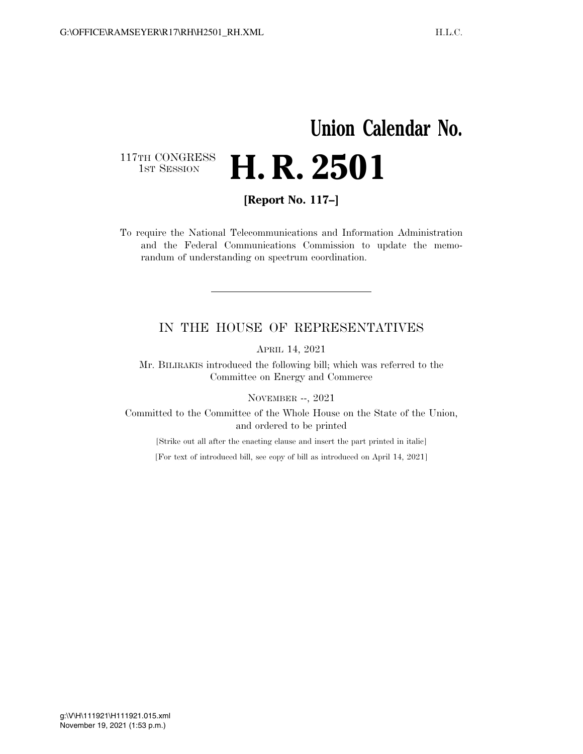## **Union Calendar No.**  117TH CONGRESS<br>1st Session H. R. 2501

**[Report No. 117–]** 

To require the National Telecommunications and Information Administration and the Federal Communications Commission to update the memorandum of understanding on spectrum coordination.

## IN THE HOUSE OF REPRESENTATIVES

APRIL 14, 2021

Mr. BILIRAKIS introduced the following bill; which was referred to the Committee on Energy and Commerce

NOVEMBER --, 2021

Committed to the Committee of the Whole House on the State of the Union, and ordered to be printed

[Strike out all after the enacting clause and insert the part printed in italic]

[For text of introduced bill, see copy of bill as introduced on April 14, 2021]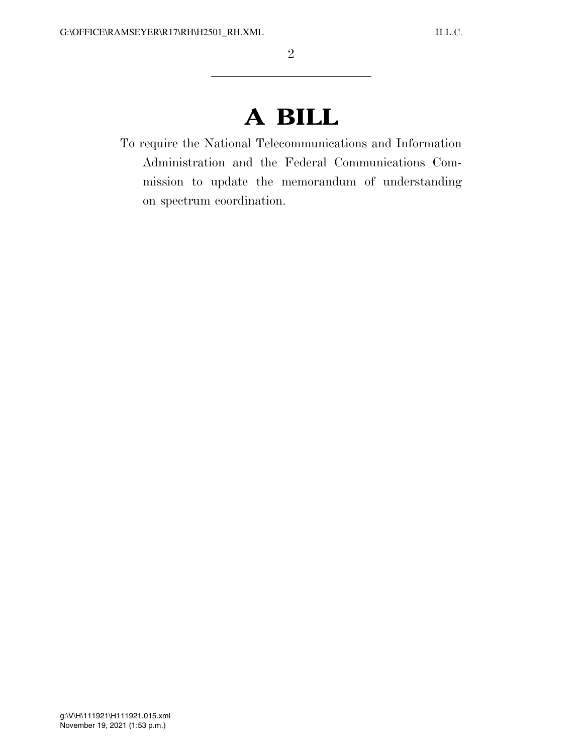## **A BILL**

To require the National Telecommunications and Information Administration and the Federal Communications Commission to update the memorandum of understanding on spectrum coordination.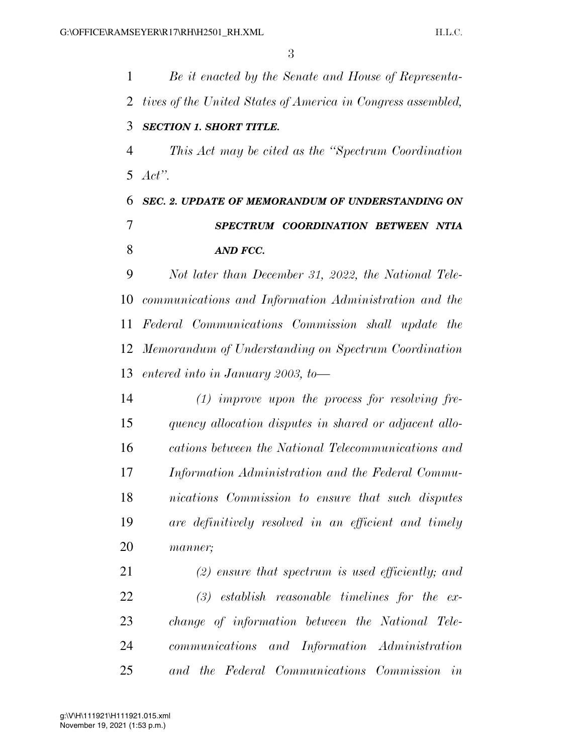*Be it enacted by the Senate and House of Representa- tives of the United States of America in Congress assembled, SECTION 1. SHORT TITLE. This Act may be cited as the ''Spectrum Coordination Act''. SEC. 2. UPDATE OF MEMORANDUM OF UNDERSTANDING ON SPECTRUM COORDINATION BETWEEN NTIA AND FCC. Not later than December 31, 2022, the National Tele- communications and Information Administration and the Federal Communications Commission shall update the Memorandum of Understanding on Spectrum Coordination entered into in January 2003, to— (1) improve upon the process for resolving fre- quency allocation disputes in shared or adjacent allo- cations between the National Telecommunications and Information Administration and the Federal Commu- nications Commission to ensure that such disputes are definitively resolved in an efficient and timely manner; (2) ensure that spectrum is used efficiently; and (3) establish reasonable timelines for the ex- change of information between the National Tele- communications and Information Administration and the Federal Communications Commission in*